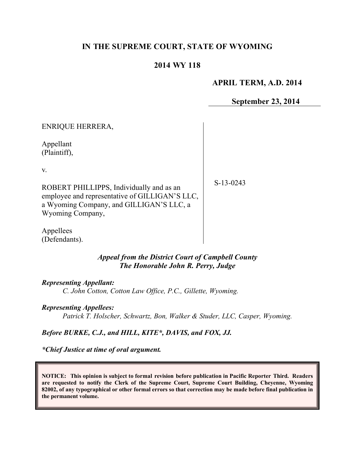# **IN THE SUPREME COURT, STATE OF WYOMING**

# **2014 WY 118**

### **APRIL TERM, A.D. 2014**

**September 23, 2014**

| <b>ENRIQUE HERRERA,</b>                                                                                                                                    |             |
|------------------------------------------------------------------------------------------------------------------------------------------------------------|-------------|
| Appellant<br>(Plaintiff),                                                                                                                                  |             |
| V.                                                                                                                                                         |             |
| ROBERT PHILLIPPS, Individually and as an<br>employee and representative of GILLIGAN'S LLC,<br>a Wyoming Company, and GILLIGAN'S LLC, a<br>Wyoming Company, | $S-13-0243$ |
| Appellees<br>(Defendants).                                                                                                                                 |             |

# *Appeal from the District Court of Campbell County The Honorable John R. Perry, Judge*

#### *Representing Appellant:*

*C. John Cotton, Cotton Law Office, P.C., Gillette, Wyoming.*

#### *Representing Appellees:*

*Patrick T. Holscher, Schwartz, Bon, Walker & Studer, LLC, Casper, Wyoming.*

#### *Before BURKE, C.J., and HILL, KITE\*, DAVIS, and FOX, JJ.*

*\*Chief Justice at time of oral argument.*

**NOTICE: This opinion is subject to formal revision before publication in Pacific Reporter Third. Readers are requested to notify the Clerk of the Supreme Court, Supreme Court Building, Cheyenne, Wyoming 82002, of any typographical or other formal errors so that correction may be made before final publication in the permanent volume.**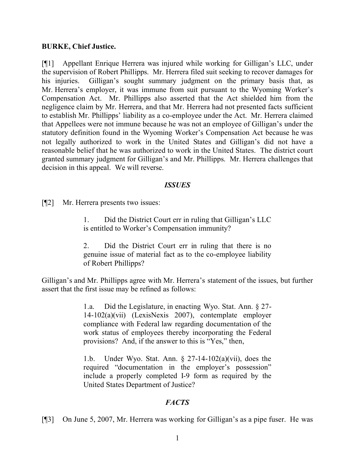### **BURKE, Chief Justice.**

[¶1] Appellant Enrique Herrera was injured while working for Gilligan's LLC, under the supervision of Robert Phillipps. Mr. Herrera filed suit seeking to recover damages for his injuries. Gilligan's sought summary judgment on the primary basis that, as Mr. Herrera's employer, it was immune from suit pursuant to the Wyoming Worker's Compensation Act. Mr. Phillipps also asserted that the Act shielded him from the negligence claim by Mr. Herrera, and that Mr. Herrera had not presented facts sufficient to establish Mr. Phillipps' liability as a co-employee under the Act. Mr. Herrera claimed that Appellees were not immune because he was not an employee of Gilligan's under the statutory definition found in the Wyoming Worker's Compensation Act because he was not legally authorized to work in the United States and Gilligan's did not have a reasonable belief that he was authorized to work in the United States. The district court granted summary judgment for Gilligan's and Mr. Phillipps. Mr. Herrera challenges that decision in this appeal. We will reverse.

### *ISSUES*

[¶2] Mr. Herrera presents two issues:

1. Did the District Court err in ruling that Gilligan's LLC is entitled to Worker's Compensation immunity?

2. Did the District Court err in ruling that there is no genuine issue of material fact as to the co-employee liability of Robert Phillipps?

Gilligan's and Mr. Phillipps agree with Mr. Herrera's statement of the issues, but further assert that the first issue may be refined as follows:

> 1.a. Did the Legislature, in enacting Wyo. Stat. Ann. § 27- 14-102(a)(vii) (LexisNexis 2007), contemplate employer compliance with Federal law regarding documentation of the work status of employees thereby incorporating the Federal provisions? And, if the answer to this is "Yes," then,

> 1.b. Under Wyo. Stat. Ann. § 27-14-102(a)(vii), does the required "documentation in the employer's possession" include a properly completed I-9 form as required by the United States Department of Justice?

# *FACTS*

[¶3] On June 5, 2007, Mr. Herrera was working for Gilligan's as a pipe fuser. He was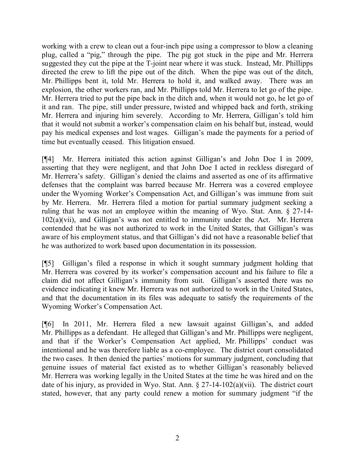working with a crew to clean out a four-inch pipe using a compressor to blow a cleaning plug, called a "pig," through the pipe. The pig got stuck in the pipe and Mr. Herrera suggested they cut the pipe at the T-joint near where it was stuck. Instead, Mr. Phillipps directed the crew to lift the pipe out of the ditch. When the pipe was out of the ditch, Mr. Phillipps bent it, told Mr. Herrera to hold it, and walked away. There was an explosion, the other workers ran, and Mr. Phillipps told Mr. Herrera to let go of the pipe. Mr. Herrera tried to put the pipe back in the ditch and, when it would not go, he let go of it and ran. The pipe, still under pressure, twisted and whipped back and forth, striking Mr. Herrera and injuring him severely. According to Mr. Herrera, Gilligan's told him that it would not submit a worker's compensation claim on his behalf but, instead, would pay his medical expenses and lost wages. Gilligan's made the payments for a period of time but eventually ceased. This litigation ensued.

[¶4] Mr. Herrera initiated this action against Gilligan's and John Doe I in 2009, asserting that they were negligent, and that John Doe I acted in reckless disregard of Mr. Herrera's safety. Gilligan's denied the claims and asserted as one of its affirmative defenses that the complaint was barred because Mr. Herrera was a covered employee under the Wyoming Worker's Compensation Act, and Gilligan's was immune from suit by Mr. Herrera. Mr. Herrera filed a motion for partial summary judgment seeking a ruling that he was not an employee within the meaning of Wyo. Stat. Ann. § 27-14- 102(a)(vii), and Gilligan's was not entitled to immunity under the Act. Mr. Herrera contended that he was not authorized to work in the United States, that Gilligan's was aware of his employment status, and that Gilligan's did not have a reasonable belief that he was authorized to work based upon documentation in its possession.

[¶5] Gilligan's filed a response in which it sought summary judgment holding that Mr. Herrera was covered by its worker's compensation account and his failure to file a claim did not affect Gilligan's immunity from suit. Gilligan's asserted there was no evidence indicating it knew Mr. Herrera was not authorized to work in the United States, and that the documentation in its files was adequate to satisfy the requirements of the Wyoming Worker's Compensation Act.

[¶6] In 2011, Mr. Herrera filed a new lawsuit against Gilligan's, and added Mr. Phillipps as a defendant. He alleged that Gilligan's and Mr. Phillipps were negligent, and that if the Worker's Compensation Act applied, Mr. Phillipps' conduct was intentional and he was therefore liable as a co-employee. The district court consolidated the two cases. It then denied the parties' motions for summary judgment, concluding that genuine issues of material fact existed as to whether Gilligan's reasonably believed Mr. Herrera was working legally in the United States at the time he was hired and on the date of his injury, as provided in Wyo. Stat. Ann. § 27-14-102(a)(vii). The district court stated, however, that any party could renew a motion for summary judgment "if the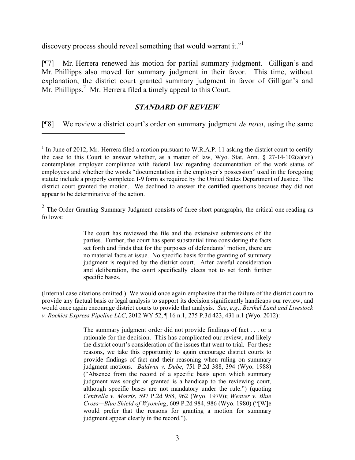discovery process should reveal something that would warrant it."

 $\overline{a}$ 

[¶7] Mr. Herrera renewed his motion for partial summary judgment. Gilligan's and Mr. Phillipps also moved for summary judgment in their favor. This time, without explanation, the district court granted summary judgment in favor of Gilligan's and Mr. Phillipps.<sup>2</sup> Mr. Herrera filed a timely appeal to this Court.

### *STANDARD OF REVIEW*

[¶8] We review a district court's order on summary judgment *de novo*, using the same

<sup>1</sup> In June of 2012, Mr. Herrera filed a motion pursuant to W.R.A.P. 11 asking the district court to certify the case to this Court to answer whether, as a matter of law, Wyo. Stat. Ann.  $\S$  27-14-102(a)(vii) contemplates employer compliance with federal law regarding documentation of the work status of employees and whether the words "documentation in the employer's possession" used in the foregoing statute include a properly completed I-9 form as required by the United States Department of Justice. The district court granted the motion. We declined to answer the certified questions because they did not appear to be determinative of the action.

 $2^2$  The Order Granting Summary Judgment consists of three short paragraphs, the critical one reading as follows:

> The court has reviewed the file and the extensive submissions of the parties. Further, the court has spent substantial time considering the facts set forth and finds that for the purposes of defendants' motion, there are no material facts at issue. No specific basis for the granting of summary judgment is required by the district court. After careful consideration and deliberation, the court specifically elects not to set forth further specific bases.

(Internal case citations omitted.) We would once again emphasize that the failure of the district court to provide any factual basis or legal analysis to support its decision significantly handicaps our review, and would once again encourage district courts to provide that analysis. *See*, *e*.*g*., *Berthel Land and Livestock v. Rockies Express Pipeline LLC*, 2012 WY 52, ¶ 16 n.1, 275 P.3d 423, 431 n.1 (Wyo. 2012):

> The summary judgment order did not provide findings of fact . . . or a rationale for the decision. This has complicated our review, and likely the district court's consideration of the issues that went to trial. For these reasons, we take this opportunity to again encourage district courts to provide findings of fact and their reasoning when ruling on summary judgment motions. *Baldwin v. Dube*, 751 P.2d 388, 394 (Wyo. 1988) ("Absence from the record of a specific basis upon which summary judgment was sought or granted is a handicap to the reviewing court, although specific bases are not mandatory under the rule.") (quoting *Centrella v. Morris*, 597 P.2d 958, 962 (Wyo. 1979)); *Weaver v. Blue Cross—Blue Shield of Wyoming*, 609 P.2d 984, 986 (Wyo. 1980) ("[W]e would prefer that the reasons for granting a motion for summary judgment appear clearly in the record.").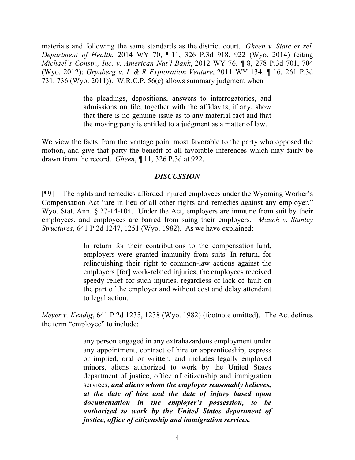materials and following the same standards as the district court. *Gheen v. State ex rel. Department of Health*, 2014 WY 70, ¶ 11, 326 P.3d 918, 922 (Wyo. 2014) (citing *Michael's Constr., Inc. v. American Nat'l Bank*, 2012 WY 76, ¶ 8, 278 P.3d 701, 704 (Wyo. 2012); *Grynberg v. L & R Exploration Venture*, 2011 WY 134, ¶ 16, 261 P.3d 731, 736 (Wyo. 2011)). W.R.C.P. 56(c) allows summary judgment when

> the pleadings, depositions, answers to interrogatories, and admissions on file, together with the affidavits, if any, show that there is no genuine issue as to any material fact and that the moving party is entitled to a judgment as a matter of law.

We view the facts from the vantage point most favorable to the party who opposed the motion, and give that party the benefit of all favorable inferences which may fairly be drawn from the record. *Gheen*, ¶ 11, 326 P.3d at 922.

### *DISCUSSION*

[¶9] The rights and remedies afforded injured employees under the Wyoming Worker's Compensation Act "are in lieu of all other rights and remedies against any employer." Wyo. Stat. Ann. § 27-14-104. Under the Act, employers are immune from suit by their employees, and employees are barred from suing their employers. *Mauch v. Stanley Structures*, 641 P.2d 1247, 1251 (Wyo. 1982). As we have explained:

> In return for their contributions to the compensation fund, employers were granted immunity from suits. In return, for relinquishing their right to common-law actions against the employers [for] work-related injuries, the employees received speedy relief for such injuries, regardless of lack of fault on the part of the employer and without cost and delay attendant to legal action.

*Meyer v. Kendig*, 641 P.2d 1235, 1238 (Wyo. 1982) (footnote omitted). The Act defines the term "employee" to include:

> any person engaged in any extrahazardous employment under any appointment, contract of hire or apprenticeship, express or implied, oral or written, and includes legally employed minors, aliens authorized to work by the United States department of justice, office of citizenship and immigration services, *and aliens whom the employer reasonably believes, at the date of hire and the date of injury based upon documentation in the employer's possession, to be authorized to work by the United States department of justice, office of citizenship and immigration services.*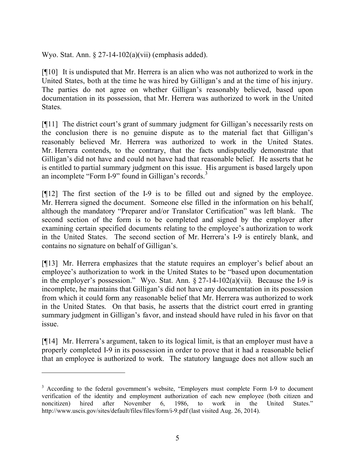Wyo. Stat. Ann. § 27-14-102(a)(vii) (emphasis added).

[¶10] It is undisputed that Mr. Herrera is an alien who was not authorized to work in the United States, both at the time he was hired by Gilligan's and at the time of his injury. The parties do not agree on whether Gilligan's reasonably believed, based upon documentation in its possession, that Mr. Herrera was authorized to work in the United States.

[¶11] The district court's grant of summary judgment for Gilligan's necessarily rests on the conclusion there is no genuine dispute as to the material fact that Gilligan's reasonably believed Mr. Herrera was authorized to work in the United States. Mr. Herrera contends, to the contrary, that the facts undisputedly demonstrate that Gilligan's did not have and could not have had that reasonable belief. He asserts that he is entitled to partial summary judgment on this issue. His argument is based largely upon an incomplete "Form I-9" found in Gilligan's records.<sup>3</sup>

[¶12] The first section of the I-9 is to be filled out and signed by the employee. Mr. Herrera signed the document. Someone else filled in the information on his behalf, although the mandatory "Preparer and/or Translator Certification" was left blank. The second section of the form is to be completed and signed by the employer after examining certain specified documents relating to the employee's authorization to work in the United States. The second section of Mr. Herrera's I-9 is entirely blank, and contains no signature on behalf of Gilligan's.

[¶13] Mr. Herrera emphasizes that the statute requires an employer's belief about an employee's authorization to work in the United States to be "based upon documentation in the employer's possession." Wyo. Stat. Ann.  $\S 27-14-102(a)(vii)$ . Because the I-9 is incomplete, he maintains that Gilligan's did not have any documentation in its possession from which it could form any reasonable belief that Mr. Herrera was authorized to work in the United States. On that basis, he asserts that the district court erred in granting summary judgment in Gilligan's favor, and instead should have ruled in his favor on that issue.

[¶14] Mr. Herrera's argument, taken to its logical limit, is that an employer must have a properly completed I-9 in its possession in order to prove that it had a reasonable belief that an employee is authorized to work. The statutory language does not allow such an

<sup>&</sup>lt;sup>3</sup> According to the federal government's website, "Employers must complete Form I-9 to document verification of the identity and employment authorization of each new employee (both citizen and noncitizen) hired after November 6, 1986, to work in the United States." http://www.uscis.gov/sites/default/files/files/form/i-9.pdf (last visited Aug. 26, 2014).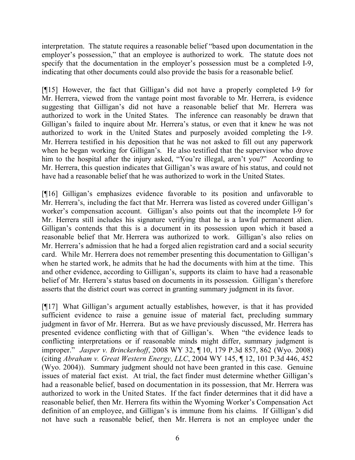interpretation. The statute requires a reasonable belief "based upon documentation in the employer's possession," that an employee is authorized to work. The statute does not specify that the documentation in the employer's possession must be a completed I-9, indicating that other documents could also provide the basis for a reasonable belief.

[¶15] However, the fact that Gilligan's did not have a properly completed I-9 for Mr. Herrera, viewed from the vantage point most favorable to Mr. Herrera, is evidence suggesting that Gilligan's did not have a reasonable belief that Mr. Herrera was authorized to work in the United States. The inference can reasonably be drawn that Gilligan's failed to inquire about Mr. Herrera's status, or even that it knew he was not authorized to work in the United States and purposely avoided completing the I-9. Mr. Herrera testified in his deposition that he was not asked to fill out any paperwork when he began working for Gilligan's. He also testified that the supervisor who drove him to the hospital after the injury asked, "You're illegal, aren't you?" According to Mr. Herrera, this question indicates that Gilligan's was aware of his status, and could not have had a reasonable belief that he was authorized to work in the United States.

[¶16] Gilligan's emphasizes evidence favorable to its position and unfavorable to Mr. Herrera's, including the fact that Mr. Herrera was listed as covered under Gilligan's worker's compensation account. Gilligan's also points out that the incomplete I-9 for Mr. Herrera still includes his signature verifying that he is a lawful permanent alien. Gilligan's contends that this is a document in its possession upon which it based a reasonable belief that Mr. Herrera was authorized to work. Gilligan's also relies on Mr. Herrera's admission that he had a forged alien registration card and a social security card. While Mr. Herrera does not remember presenting this documentation to Gilligan's when he started work, he admits that he had the documents with him at the time. This and other evidence, according to Gilligan's, supports its claim to have had a reasonable belief of Mr. Herrera's status based on documents in its possession. Gilligan's therefore asserts that the district court was correct in granting summary judgment in its favor.

[¶17] What Gilligan's argument actually establishes, however, is that it has provided sufficient evidence to raise a genuine issue of material fact, precluding summary judgment in favor of Mr. Herrera. But as we have previously discussed, Mr. Herrera has presented evidence conflicting with that of Gilligan's. When "the evidence leads to conflicting interpretations or if reasonable minds might differ, summary judgment is improper." *Jasper v. Brinckerhoff*, 2008 WY 32, ¶ 10, 179 P.3d 857, 862 (Wyo. 2008) (citing *Abraham v. Great Western Energy, LLC*, 2004 WY 145, ¶ 12, 101 P.3d 446, 452 (Wyo. 2004)). Summary judgment should not have been granted in this case. Genuine issues of material fact exist. At trial, the fact finder must determine whether Gilligan's had a reasonable belief, based on documentation in its possession, that Mr. Herrera was authorized to work in the United States. If the fact finder determines that it did have a reasonable belief, then Mr. Herrera fits within the Wyoming Worker's Compensation Act definition of an employee, and Gilligan's is immune from his claims. If Gilligan's did not have such a reasonable belief, then Mr. Herrera is not an employee under the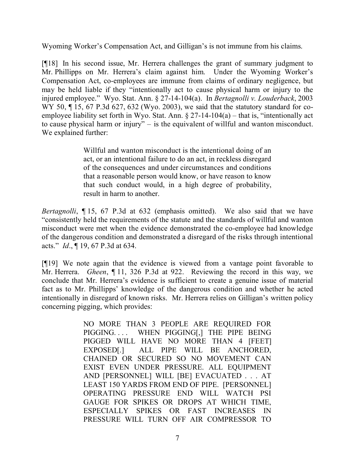Wyoming Worker's Compensation Act, and Gilligan's is not immune from his claims.

[¶18] In his second issue, Mr. Herrera challenges the grant of summary judgment to Mr. Phillipps on Mr. Herrera's claim against him. Under the Wyoming Worker's Compensation Act, co-employees are immune from claims of ordinary negligence, but may be held liable if they "intentionally act to cause physical harm or injury to the injured employee." Wyo. Stat. Ann. § 27-14-104(a). In *Bertagnolli v. Louderback*, 2003 WY 50, ¶15, 67 P.3d 627, 632 (Wyo. 2003), we said that the statutory standard for coemployee liability set forth in Wyo. Stat. Ann.  $\S 27-14-104(a)$  – that is, "intentionally act to cause physical harm or injury" – is the equivalent of willful and wanton misconduct. We explained further:

> Willful and wanton misconduct is the intentional doing of an act, or an intentional failure to do an act, in reckless disregard of the consequences and under circumstances and conditions that a reasonable person would know, or have reason to know that such conduct would, in a high degree of probability, result in harm to another.

*Bertagnolli*, ¶ 15, 67 P.3d at 632 (emphasis omitted). We also said that we have "consistently held the requirements of the statute and the standards of willful and wanton misconduct were met when the evidence demonstrated the co-employee had knowledge of the dangerous condition and demonstrated a disregard of the risks through intentional acts." *Id*., ¶ 19, 67 P.3d at 634.

[¶19] We note again that the evidence is viewed from a vantage point favorable to Mr. Herrera. *Gheen*, ¶ 11, 326 P.3d at 922. Reviewing the record in this way, we conclude that Mr. Herrera's evidence is sufficient to create a genuine issue of material fact as to Mr. Phillipps' knowledge of the dangerous condition and whether he acted intentionally in disregard of known risks. Mr. Herrera relies on Gilligan's written policy concerning pigging, which provides:

> NO MORE THAN 3 PEOPLE ARE REQUIRED FOR PIGGING. . . . WHEN PIGGING[,] THE PIPE BEING PIGGED WILL HAVE NO MORE THAN 4 [FEET] EXPOSED[.] ALL PIPE WILL BE ANCHORED, CHAINED OR SECURED SO NO MOVEMENT CAN EXIST EVEN UNDER PRESSURE. ALL EQUIPMENT AND [PERSONNEL] WILL [BE] EVACUATED . . . AT LEAST 150 YARDS FROM END OF PIPE. [PERSONNEL] OPERATING PRESSURE END WILL WATCH PSI GAUGE FOR SPIKES OR DROPS AT WHICH TIME, ESPECIALLY SPIKES OR FAST INCREASES IN PRESSURE WILL TURN OFF AIR COMPRESSOR TO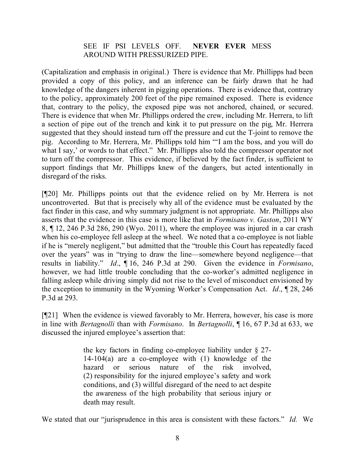### SEE IF PSI LEVELS OFF. **NEVER EVER** MESS AROUND WITH PRESSURIZED PIPE.

(Capitalization and emphasis in original.) There is evidence that Mr. Phillipps had been provided a copy of this policy, and an inference can be fairly drawn that he had knowledge of the dangers inherent in pigging operations. There is evidence that, contrary to the policy, approximately 200 feet of the pipe remained exposed. There is evidence that, contrary to the policy, the exposed pipe was not anchored, chained, or secured. There is evidence that when Mr. Phillipps ordered the crew, including Mr. Herrera, to lift a section of pipe out of the trench and kink it to put pressure on the pig, Mr. Herrera suggested that they should instead turn off the pressure and cut the T-joint to remove the pig. According to Mr. Herrera, Mr. Phillipps told him "'I am the boss, and you will do what I say,' or words to that effect." Mr. Phillipps also told the compressor operator not to turn off the compressor. This evidence, if believed by the fact finder, is sufficient to support findings that Mr. Phillipps knew of the dangers, but acted intentionally in disregard of the risks.

[¶20] Mr. Phillipps points out that the evidence relied on by Mr. Herrera is not uncontroverted. But that is precisely why all of the evidence must be evaluated by the fact finder in this case, and why summary judgment is not appropriate. Mr. Phillipps also asserts that the evidence in this case is more like that in *Formisano v. Gaston*, 2011 WY 8, ¶ 12, 246 P.3d 286, 290 (Wyo. 2011), where the employee was injured in a car crash when his co-employee fell asleep at the wheel. We noted that a co-employee is not liable if he is "merely negligent," but admitted that the "trouble this Court has repeatedly faced over the years" was in "trying to draw the line—somewhere beyond negligence—that results in liability." *Id*., ¶ 16, 246 P.3d at 290. Given the evidence in *Formisano*, however, we had little trouble concluding that the co-worker's admitted negligence in falling asleep while driving simply did not rise to the level of misconduct envisioned by the exception to immunity in the Wyoming Worker's Compensation Act. *Id*., ¶ 28, 246 P.3d at 293.

[¶21] When the evidence is viewed favorably to Mr. Herrera, however, his case is more in line with *Bertagnolli* than with *Formisano*. In *Bertagnolli*, ¶ 16, 67 P.3d at 633, we discussed the injured employee's assertion that:

> the key factors in finding co-employee liability under § 27- 14-104(a) are a co-employee with (1) knowledge of the hazard or serious nature of the risk involved, (2) responsibility for the injured employee's safety and work conditions, and (3) willful disregard of the need to act despite the awareness of the high probability that serious injury or death may result.

We stated that our "jurisprudence in this area is consistent with these factors." *Id.* We